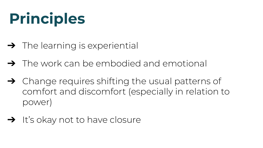## **Principles**

- $\rightarrow$  The learning is experiential
- ➔ The work can be embodied and emotional
- ➔ Change requires shifting the usual patterns of comfort and discomfort (especially in relation to power)
- $\rightarrow$  It's okay not to have closure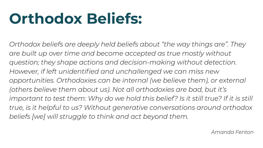## **Orthodox Beliefs:**

*Orthodox beliefs are deeply held beliefs about "the way things are". They are built up over time and become accepted as true mostly without question; they shape actions and decision-making without detection. However, if left unidentified and unchallenged we can miss new opportunities. Orthodoxies can be internal (we believe them), or external (others believe them about us). Not all orthodoxies are bad, but it's*  important to test them: Why do we hold this belief? Is it still true? If it is still *true, is it helpful to us? Without generative conversations around orthodox beliefs [we] will struggle to think and act beyond them.*